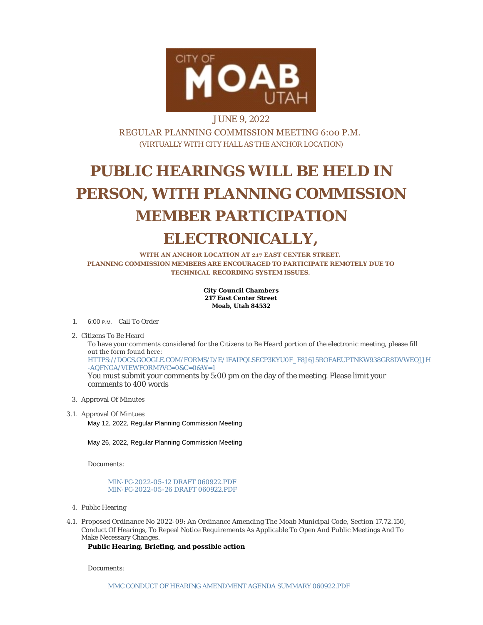

## JUNE 9, 2022 REGULAR PLANNING COMMISSION MEETING 6:00 P.M. (VIRTUALLY WITH CITY HALL AS THE ANCHOR LOCATION)

# **PUBLIC HEARINGS WILL BE HELD IN PERSON, WITH PLANNING COMMISSION MEMBER PARTICIPATION ELECTRONICALLY,**

**WITH AN ANCHOR LOCATION AT 217 EAST CENTER STREET. PLANNING COMMISSION MEMBERS ARE ENCOURAGED TO PARTICIPATE REMOTELY DUE TO TECHNICAL RECORDING SYSTEM ISSUES.**

> **City Council Chambers 217 East Center Street Moab, Utah 84532**

1. 6:00 P.M. Call To Order

2. Citizens To Be Heard

To have your comments considered for the Citizens to Be Heard portion of the electronic meeting, please fill out the form found here: [HTTPS://DOCS.GOOGLE.COM/FORMS/D/E/1FAIPQLSECP3KYU0F\\_F8J6J5ROFAEUPTNKW938GR8DVWEOJJH](https://docs.google.com/forms/d/e/1FAIpQLSecp3kyu0F_f8J6J5ROfaeUPtNkW938GR8dvweOJjH-aQfNgA/viewform?vc=0&c=0&w=1) -AQFNGA/VIEWFORM?VC=0&C=0&W=1 You must submit your comments by 5:00 pm on the day of the meeting. Please limit your comments to 400 words

- 3. Approval Of Minutes
- 3.1. Approval Of Mintues May 12, 2022, Regular Planning Commission Meeting

May 26, 2022, Regular Planning Commission Meeting

Documents:

MIN-PC-2022-05 [-12 DRAFT 060922.PDF](https://moabcity.org/AgendaCenter/ViewFile/Item/4935?fileID=5942) MIN-PC-2022-05 [-26 DRAFT 060922.PDF](https://moabcity.org/AgendaCenter/ViewFile/Item/4935?fileID=5943)

- 4. Public Hearing
- 4.1. Proposed Ordinance No 2022-09: An Ordinance Amending The Moab Municipal Code, Section 17.72.150, Conduct Of Hearings, To Repeal Notice Requirements As Applicable To Open And Public Meetings And To Make Necessary Changes.

**Public Hearing, Briefing, and possible action**

Documents: